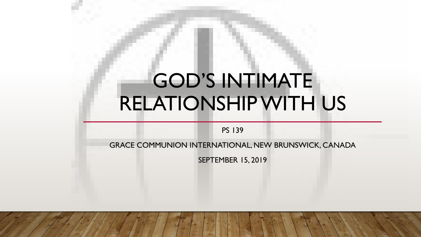# GOD'S INTIMATE RELATIONSHIP WITH US

PS 139

GRACE COMMUNION INTERNATIONAL, NEW BRUNSWICK, CANADA

SEPTEMBER 15, 2019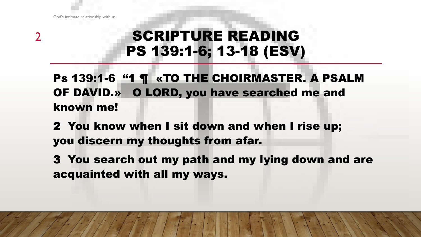# SCRIPTURE READING PS 139:1-6; 13-18 (ESV)

Ps 139:1-6 "1 ¶ «TO THE CHOIRMASTER. A PSALM OF DAVID.» O LORD, you have searched me and known me!

2 You know when I sit down and when I rise up; you discern my thoughts from afar.

3 You search out my path and my lying down and are acquainted with all my ways.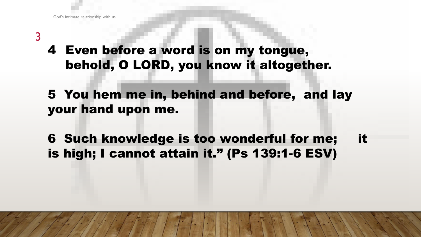## 4 Even before a word is on my tongue, behold, O LORD, you know it altogether.

## 5 You hem me in, behind and before, and lay your hand upon me.

# 6 Such knowledge is too wonderful for me; it is high; I cannot attain it." (Ps 139:1-6 ESV)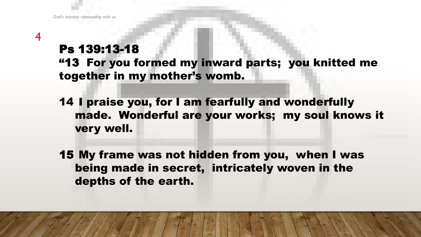## Ps 139:13-18 "13 For you formed my inward parts; you knitted me together in my mother's womb.

14 I praise you, for I am fearfully and wonderfully made. Wonderful are your works; my soul knows it very well.

15 My frame was not hidden from you, when I was being made in secret, intricately woven in the depths of the earth.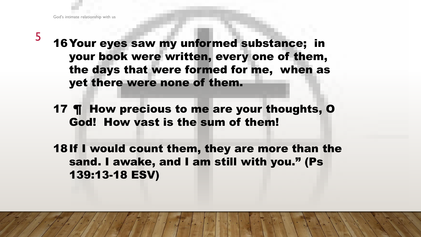- 16Your eyes saw my unformed substance; in your book were written, every one of them, the days that were formed for me, when as yet there were none of them.
- 17 ¶ How precious to me are your thoughts, O God! How vast is the sum of them!
- 18If I would count them, they are more than the sand. I awake, and I am still with you." (Ps 139:13-18 ESV)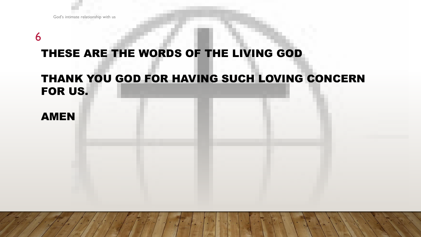#### THESE ARE THE WORDS OF THE LIVING GOD

#### THANK YOU GOD FOR HAVING SUCH LOVING CONCERN FOR US.

#### AMEN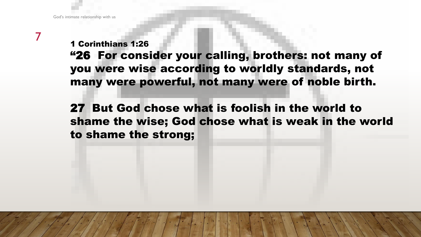1 Corinthians 1:26

"26 For consider your calling, brothers: not many of you were wise according to worldly standards, not many were powerful, not many were of noble birth.

27 But God chose what is foolish in the world to shame the wise; God chose what is weak in the world to shame the strong;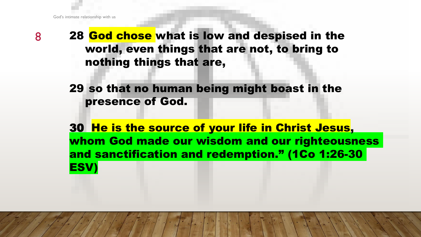8 28 God chose what is low and despised in the world, even things that are not, to bring to nothing things that are,

> 29 so that no human being might boast in the presence of God.

30 He is the source of your life in Christ Jesus, whom God made our wisdom and our righteousness and sanctification and redemption." (1Co 1:26-30 ESV)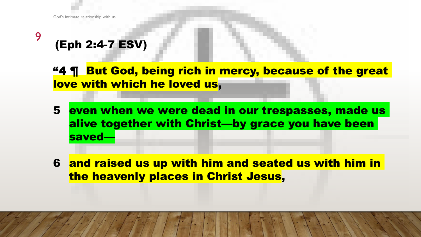# (Eph 2:4-7 ESV)

"4 ¶ But God, being rich in mercy, because of the great love with which he loved us,

- 5 even when we were dead in our trespasses, made us alive together with Christ—by grace you have been saved—
- 6 and raised us up with him and seated us with him in the heavenly places in Christ Jesus,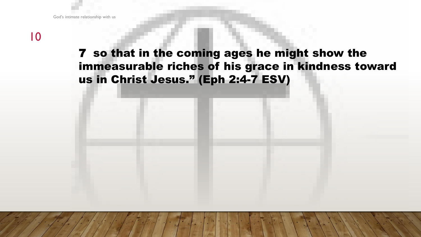### 7 so that in the coming ages he might show the immeasurable riches of his grace in kindness toward us in Christ Jesus." (Eph 2:4-7 ESV)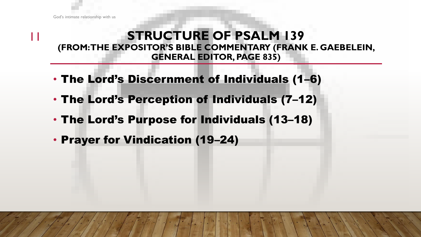#### **STRUCTURE OF PSALM 139 (FROM: THE EXPOSITOR'S BIBLE COMMENTARY (FRANK E. GAEBELEIN, GENERAL EDITOR, PAGE 835)**

- The Lord's Discernment of Individuals (1–6)
- The Lord's Perception of Individuals (7–12)
- The Lord's Purpose for Individuals (13–18)
- Prayer for Vindication (19–24)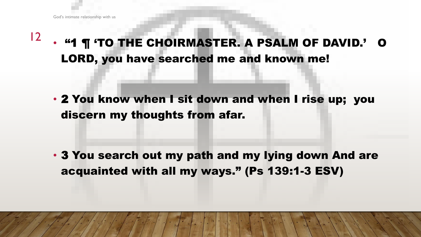12 • "1 ¶ 'TO THE CHOIRMASTER. A PSALM OF DAVID.' O LORD, you have searched me and known me!

• 2 You know when I sit down and when I rise up; you discern my thoughts from afar.

• 3 You search out my path and my lying down And are acquainted with all my ways." (Ps 139:1-3 ESV)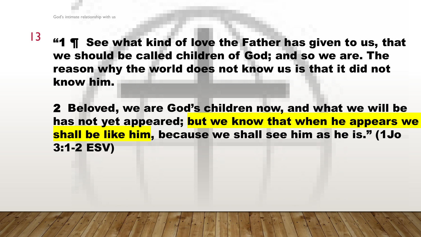- $13$  "1 ¶ See what kind of love the Father has given to us, that we should be called children of God; and so we are. The reason why the world does not know us is that it did not know him.
	- 2 Beloved, we are God's children now, and what we will be has not yet appeared; but we know that when he appears we shall be like him, because we shall see him as he is." (1Jo 3:1-2 ESV)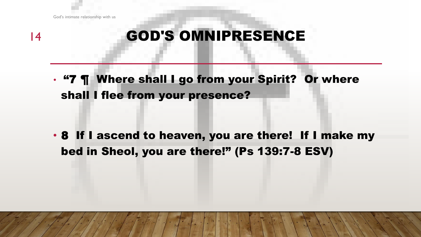God's intimate relationship with us

#### 14

# GOD'S OMNIPRESENCE

• "7 ¶ Where shall I go from your Spirit? Or where shall I flee from your presence?

• 8 If I ascend to heaven, you are there! If I make my bed in Sheol, you are there!" (Ps 139:7-8 ESV)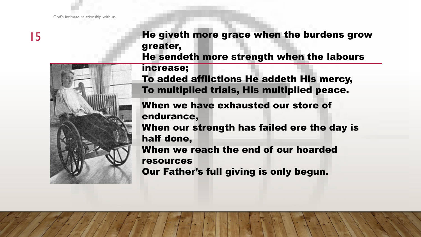

He giveth more grace when the burdens grow greater,

He sendeth more strength when the labours

increase;

To added afflictions He addeth His mercy, To multiplied trials, His multiplied peace.

When we have exhausted our store of endurance, When our strength has failed ere the day is half done, When we reach the end of our hoarded resources Our Father's full giving is only begun.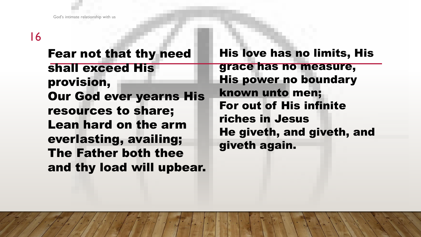Fear not that thy need shall exceed His provision, Our God ever yearns His resources to share; Lean hard on the arm everlasting, availing; The Father both thee and thy load will upbear.

His love has no limits, His grace has no measure, His power no boundary known unto men; For out of His infinite riches in Jesus He giveth, and giveth, and giveth again.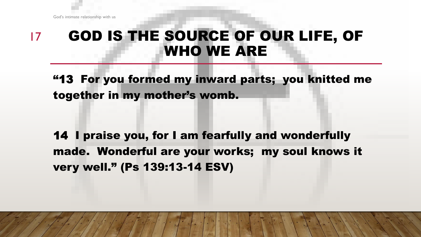#### GOD IS THE SOURCE OF OUR LIFE, OF WHO WE ARE 17

"13 For you formed my inward parts; you knitted me together in my mother's womb.

14 I praise you, for I am fearfully and wonderfully made. Wonderful are your works; my soul knows it very well." (Ps 139:13-14 ESV)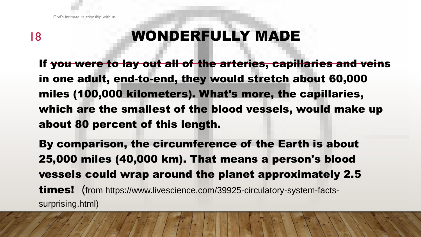# WONDERFULLY MADE

If you were to lay out all of the arteries, capillaries and veins in one adult, end-to-end, they would stretch about 60,000 miles (100,000 kilometers). What's more, the capillaries, which are the smallest of the blood vessels, would make up about 80 percent of this length.

By comparison, the circumference of the Earth is about 25,000 miles (40,000 km). That means a person's blood vessels could wrap around the planet approximately 2.5 **times!** (from https://www.livescience.com/39925-circulatory-system-factssurprising.html)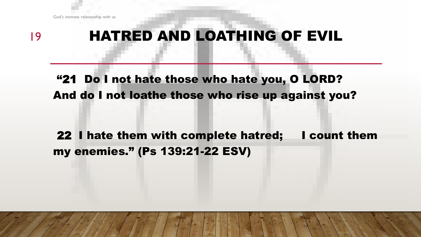

# HATRED AND LOATHING OF EVIL

"21 Do I not hate those who hate you, O LORD? And do I not loathe those who rise up against you?

22 I hate them with complete hatred; I count them my enemies." (Ps 139:21-22 ESV)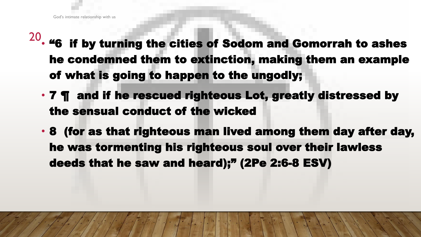- 20 • "6 if by turning the cities of Sodom and Gomorrah to ashes he condemned them to extinction, making them an example of what is going to happen to the ungodly;
	- 7 ¶ and if he rescued righteous Lot, greatly distressed by the sensual conduct of the wicked
	- 8 (for as that righteous man lived among them day after day, he was tormenting his righteous soul over their lawless deeds that he saw and heard);" (2Pe 2:6-8 ESV)